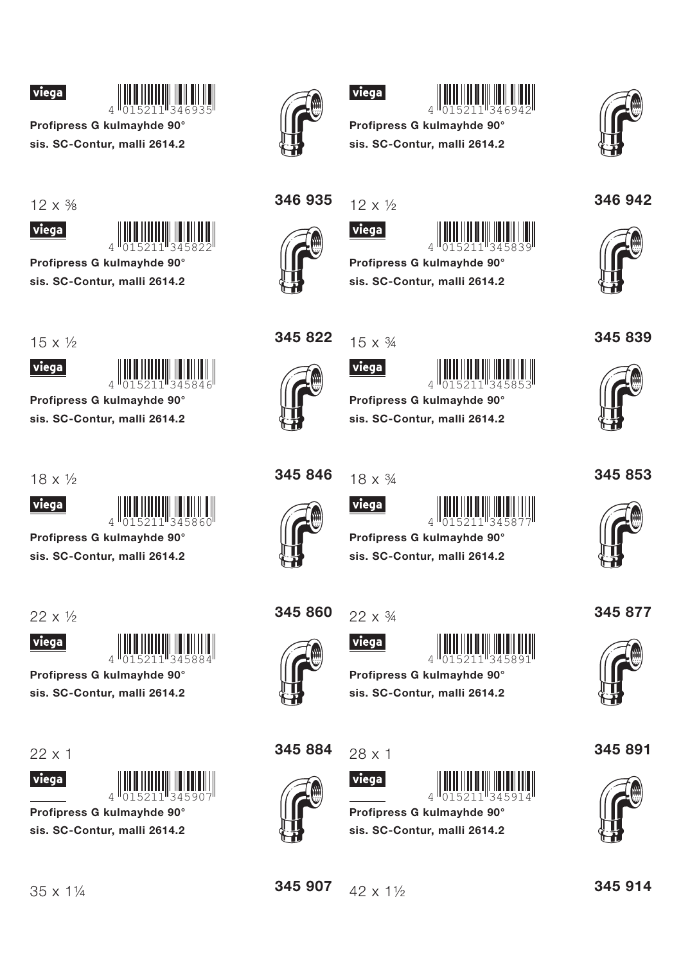



Profipress G kulmayhde 90° sis. SC-Contur, malli 2614.2

 $12 \times \frac{3}{8}$ 





Profipress G kulmayhde 90° sis. SC-Contur, malli 2614.2

 $15 \times \frac{1}{2}$ 



Profipress G kulmayhde 90°

sis. SC-Contur, malli 2614.2

 $18 \times \frac{1}{2}$ 

viega



Profipress G kulmayhde 90° sis. SC-Contur, malli 2614.2

 $22 \times 1/2$ 





sis. SC-Contur, malli 2614.2

 $22x1$ 





Profipress G kulmayhde 90° sis. SC-Contur, malli 2614.2



viega



Profipress G kulmayhde 90° sis. SC-Contur, malli 2614.2



346 942

345839



346 935

 $12 \times \frac{1}{2}$ 



 $|$  viega $|$ 



Profipress G kulmayhde 90°

sis. SC-Contur, malli 2614.2



345822

 $15 \times \frac{3}{4}$ viega





Profipress G kulmayhde 90° sis. SC-Contur, malli 2614.2

345 846  $18 \times \frac{3}{4}$ 



viega





Profipress G kulmavhde 90°



sis. SC-Contur, malli 2614.2





 $22 \times 3/4$ 





Profipress G kulmavhde 90° sis. SC-Contur, malli 2614.2

345 884



 $28 \times 1$ viega



015211 Profipress G kulmayhde 90°



345 914

345 891

345 877



sis. SC-Contur, malli 2614.2